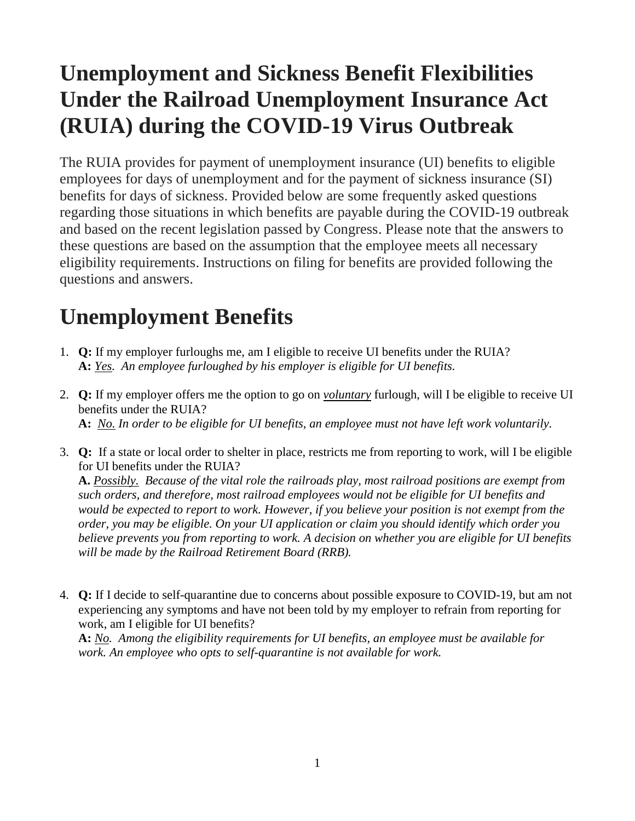# **Unemployment and Sickness Benefit Flexibilities Under the Railroad Unemployment Insurance Act (RUIA) during the COVID-19 Virus Outbreak**

The RUIA provides for payment of unemployment insurance (UI) benefits to eligible employees for days of unemployment and for the payment of sickness insurance (SI) benefits for days of sickness. Provided below are some frequently asked questions regarding those situations in which benefits are payable during the COVID-19 outbreak and based on the recent legislation passed by Congress. Please note that the answers to these questions are based on the assumption that the employee meets all necessary eligibility requirements. Instructions on filing for benefits are provided following the questions and answers.

# **Unemployment Benefits**

- 1. **Q:** If my employer furloughs me, am I eligible to receive UI benefits under the RUIA? **A:** *Yes. An employee furloughed by his employer is eligible for UI benefits.*
- 2. **Q:** If my employer offers me the option to go on *voluntary* furlough, will I be eligible to receive UI benefits under the RUIA? **A:** *No. In order to be eligible for UI benefits, an employee must not have left work voluntarily.*
- 3. **Q:** If a state or local order to shelter in place, restricts me from reporting to work, will I be eligible for UI benefits under the RUIA?

**A.** *Possibly. Because of the vital role the railroads play, most railroad positions are exempt from such orders, and therefore, most railroad employees would not be eligible for UI benefits and would be expected to report to work. However, if you believe your position is not exempt from the order, you may be eligible. On your UI application or claim you should identify which order you believe prevents you from reporting to work. A decision on whether you are eligible for UI benefits will be made by the Railroad Retirement Board (RRB).*

4. **Q:** If I decide to self-quarantine due to concerns about possible exposure to COVID-19, but am not experiencing any symptoms and have not been told by my employer to refrain from reporting for work, am I eligible for UI benefits?

**A:** *No. Among the eligibility requirements for UI benefits, an employee must be available for work. An employee who opts to self-quarantine is not available for work.*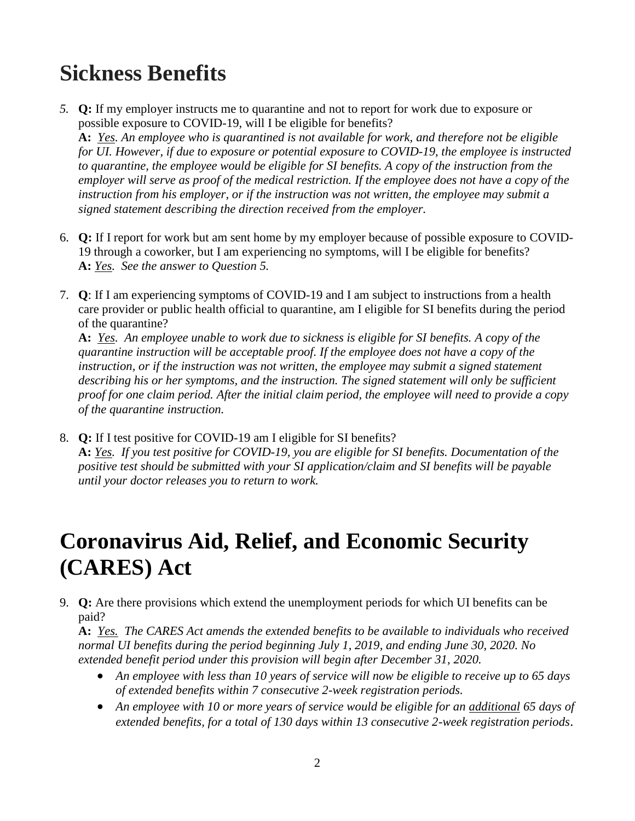## **Sickness Benefits**

*5.* **Q:** If my employer instructs me to quarantine and not to report for work due to exposure or possible exposure to COVID-19, will I be eligible for benefits?

**A:** *Yes. An employee who is quarantined is not available for work, and therefore not be eligible for UI. However, if due to exposure or potential exposure to COVID-19, the employee is instructed to quarantine, the employee would be eligible for SI benefits. A copy of the instruction from the employer will serve as proof of the medical restriction. If the employee does not have a copy of the instruction from his employer, or if the instruction was not written, the employee may submit a signed statement describing the direction received from the employer.* 

- 6. **Q:** If I report for work but am sent home by my employer because of possible exposure to COVID-19 through a coworker, but I am experiencing no symptoms, will I be eligible for benefits? **A:** *Yes. See the answer to Question 5.*
- 7. **Q**: If I am experiencing symptoms of COVID-19 and I am subject to instructions from a health care provider or public health official to quarantine, am I eligible for SI benefits during the period of the quarantine?

**A:** *Yes. An employee unable to work due to sickness is eligible for SI benefits. A copy of the quarantine instruction will be acceptable proof. If the employee does not have a copy of the*  instruction, or if the instruction was not written, the employee may submit a signed statement *describing his or her symptoms, and the instruction. The signed statement will only be sufficient proof for one claim period. After the initial claim period, the employee will need to provide a copy of the quarantine instruction.*

8. **Q:** If I test positive for COVID-19 am I eligible for SI benefits? **A:** *Yes. If you test positive for COVID-19, you are eligible for SI benefits. Documentation of the positive test should be submitted with your SI application/claim and SI benefits will be payable until your doctor releases you to return to work.*

### **Coronavirus Aid, Relief, and Economic Security (CARES) Act**

9. **Q:** Are there provisions which extend the unemployment periods for which UI benefits can be paid?

**A:** *Yes. The CARES Act amends the extended benefits to be available to individuals who received normal UI benefits during the period beginning July 1, 2019, and ending June 30, 2020. No extended benefit period under this provision will begin after December 31, 2020.*

- *An employee with less than 10 years of service will now be eligible to receive up to 65 days of extended benefits within 7 consecutive 2-week registration periods.*
- *An employee with 10 or more years of service would be eligible for an additional 65 days of extended benefits, for a total of 130 days within 13 consecutive 2-week registration periods*.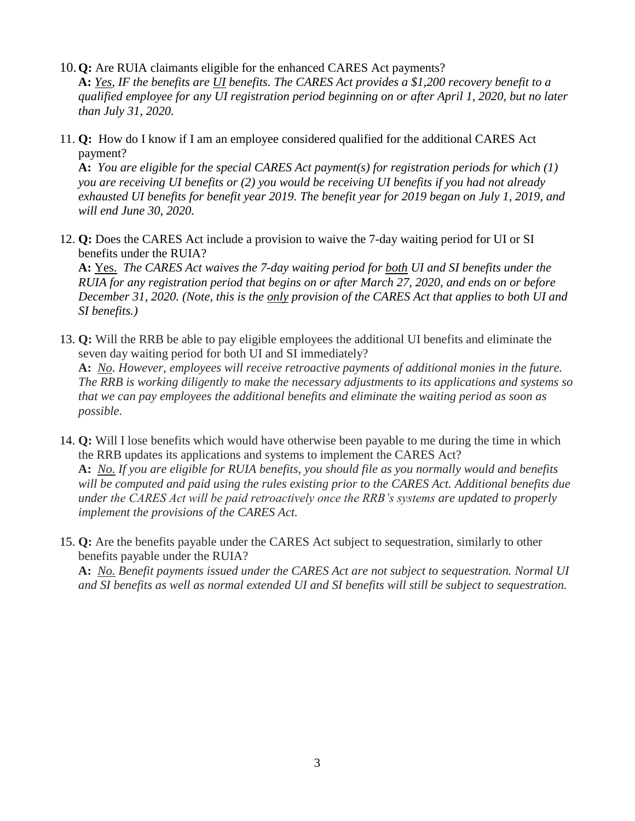- 10.**Q:** Are RUIA claimants eligible for the enhanced CARES Act payments? **A:** *Yes, IF the benefits are UI benefits. The CARES Act provides a \$1,200 recovery benefit to a qualified employee for any UI registration period beginning on or after April 1, 2020, but no later than July 31, 2020.*
- 11. **Q:** How do I know if I am an employee considered qualified for the additional CARES Act payment?

**A:** *You are eligible for the special CARES Act payment(s) for registration periods for which (1) you are receiving UI benefits or (2) you would be receiving UI benefits if you had not already exhausted UI benefits for benefit year 2019. The benefit year for 2019 began on July 1, 2019, and will end June 30, 2020.*

12. **Q:** Does the CARES Act include a provision to waive the 7-day waiting period for UI or SI benefits under the RUIA?

**A:** Yes. *The CARES Act waives the 7-day waiting period for both UI and SI benefits under the RUIA for any registration period that begins on or after March 27, 2020, and ends on or before December 31, 2020. (Note, this is the only provision of the CARES Act that applies to both UI and SI benefits.)*

- 13. **Q:** Will the RRB be able to pay eligible employees the additional UI benefits and eliminate the seven day waiting period for both UI and SI immediately? **A:** *No. However, employees will receive retroactive payments of additional monies in the future. The RRB is working diligently to make the necessary adjustments to its applications and systems so that we can pay employees the additional benefits and eliminate the waiting period as soon as possible.*
- 14. **Q:** Will I lose benefits which would have otherwise been payable to me during the time in which the RRB updates its applications and systems to implement the CARES Act? **A:** *No. If you are eligible for RUIA benefits, you should file as you normally would and benefits will be computed and paid using the rules existing prior to the CARES Act. Additional benefits due under the CARES Act will be paid retroactively once the RRB's systems are updated to properly implement the provisions of the CARES Act.*
- 15. **Q:** Are the benefits payable under the CARES Act subject to sequestration, similarly to other benefits payable under the RUIA?

**A:** *No. Benefit payments issued under the CARES Act are not subject to sequestration. Normal UI and SI benefits as well as normal extended UI and SI benefits will still be subject to sequestration.*